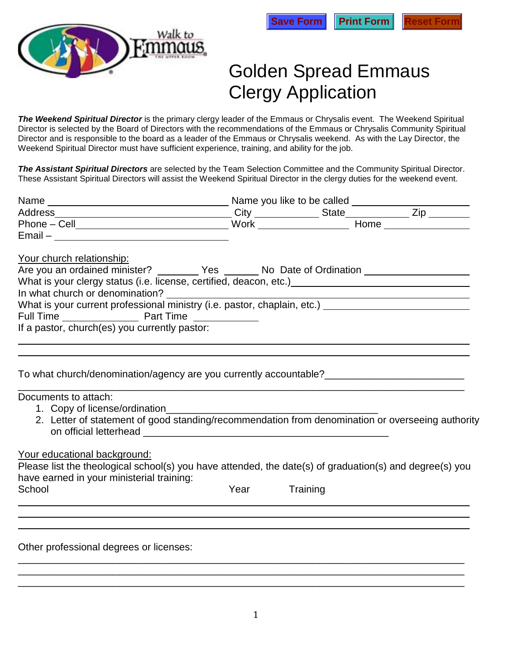



## Golden Spread Emmaus Clergy Application

*The Weekend Spiritual Director* is the primary clergy leader of the Emmaus or Chrysalis event. The Weekend Spiritual Director is selected by the Board of Directors with the recommendations of the Emmaus or Chrysalis Community Spiritual Director and is responsible to the board as a leader of the Emmaus or Chrysalis weekend. As with the Lay Director, the Weekend Spiritual Director must have sufficient experience, training, and ability for the job.

*The Assistant Spiritual Directors* are selected by the Team Selection Committee and the Community Spiritual Director. These Assistant Spiritual Directors will assist the Weekend Spiritual Director in the clergy duties for the weekend event.

| $Email -$                                                                                               |      |          |  |  |  |
|---------------------------------------------------------------------------------------------------------|------|----------|--|--|--|
| Your church relationship:                                                                               |      |          |  |  |  |
| Are you an ordained minister? __________ Yes ________ No Date of Ordination ________________________    |      |          |  |  |  |
|                                                                                                         |      |          |  |  |  |
|                                                                                                         |      |          |  |  |  |
|                                                                                                         |      |          |  |  |  |
|                                                                                                         |      |          |  |  |  |
| If a pastor, church(es) you currently pastor:                                                           |      |          |  |  |  |
|                                                                                                         |      |          |  |  |  |
|                                                                                                         |      |          |  |  |  |
|                                                                                                         |      |          |  |  |  |
| To what church/denomination/agency are you currently accountable?___________________________________    |      |          |  |  |  |
| Documents to attach:                                                                                    |      |          |  |  |  |
|                                                                                                         |      |          |  |  |  |
| 2. Letter of statement of good standing/recommendation from denomination or overseeing authority        |      |          |  |  |  |
|                                                                                                         |      |          |  |  |  |
|                                                                                                         |      |          |  |  |  |
| Your educational background:                                                                            |      |          |  |  |  |
| Please list the theological school(s) you have attended, the date(s) of graduation(s) and degree(s) you |      |          |  |  |  |
| have earned in your ministerial training:                                                               |      |          |  |  |  |
| School                                                                                                  | Year | Training |  |  |  |
|                                                                                                         |      |          |  |  |  |
|                                                                                                         |      |          |  |  |  |
|                                                                                                         |      |          |  |  |  |
| Other professional degrees or licenses:                                                                 |      |          |  |  |  |
|                                                                                                         |      |          |  |  |  |

\_\_\_\_\_\_\_\_\_\_\_\_\_\_\_\_\_\_\_\_\_\_\_\_\_\_\_\_\_\_\_\_\_\_\_\_\_\_\_\_\_\_\_\_\_\_\_\_\_\_\_\_\_\_\_\_\_\_\_\_\_\_\_\_\_\_\_\_\_\_\_\_\_\_\_\_\_\_\_\_ \_\_\_\_\_\_\_\_\_\_\_\_\_\_\_\_\_\_\_\_\_\_\_\_\_\_\_\_\_\_\_\_\_\_\_\_\_\_\_\_\_\_\_\_\_\_\_\_\_\_\_\_\_\_\_\_\_\_\_\_\_\_\_\_\_\_\_\_\_\_\_\_\_\_\_\_\_\_\_\_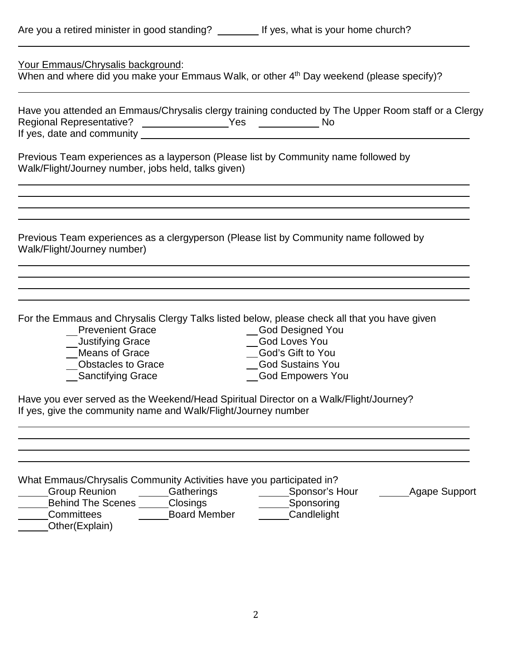|  |  |  | Are you a retired minister in good standing? |  |
|--|--|--|----------------------------------------------|--|
|  |  |  |                                              |  |

| Your Emmaus/Chrysalis background:<br>When and where did you make your Emmaus Walk, or other 4th Day weekend (please specify)?                                                                                                                                                                                                                                                                                                                                                                                     |
|-------------------------------------------------------------------------------------------------------------------------------------------------------------------------------------------------------------------------------------------------------------------------------------------------------------------------------------------------------------------------------------------------------------------------------------------------------------------------------------------------------------------|
| Have you attended an Emmaus/Chrysalis clergy training conducted by The Upper Room staff or a Clergy<br>Regional Representative? __________________Yes _______________ No<br><u> 1989 - Johann Barbara, martxa amerikan per</u><br>If yes, date and community __________                                                                                                                                                                                                                                           |
| Previous Team experiences as a layperson (Please list by Community name followed by<br>Walk/Flight/Journey number, jobs held, talks given)                                                                                                                                                                                                                                                                                                                                                                        |
| Previous Team experiences as a clergyperson (Please list by Community name followed by<br>Walk/Flight/Journey number)                                                                                                                                                                                                                                                                                                                                                                                             |
| For the Emmaus and Chrysalis Clergy Talks listed below, please check all that you have given<br><b>Prevenient Grace</b><br>_God Designed You<br><b>Justifying Grace</b><br><b>God Loves You</b><br><b>Means of Grace</b><br>God's Gift to You<br><b>Obstacles to Grace</b><br><b>God Sustains You</b><br>_Sanctifying Grace<br><b>God Empowers You</b><br>Have you ever served as the Weekend/Head Spiritual Director on a Walk/Flight/Journey?<br>If yes, give the community name and Walk/Flight/Journey number |
| What Emmaus/Chrysalis Community Activities have you participated in?<br><b>Group Reunion</b><br>Gatherings<br>_______Sponsor's Hour<br>_Agape Support<br><b>Behind The Scenes</b> Closings<br>___Sponsoring<br><b>Board Member</b><br>Committees<br>Candlelight<br>__Other(Explain)                                                                                                                                                                                                                               |